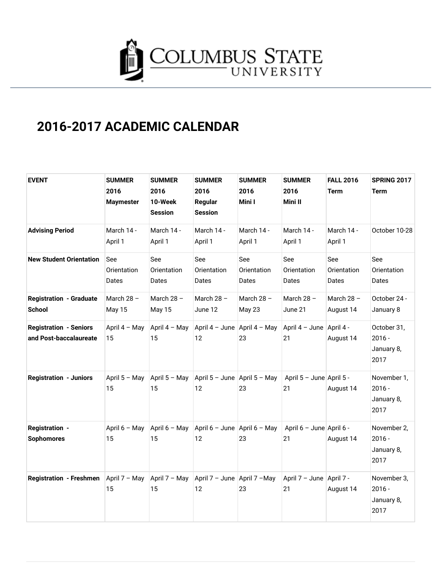

## **2016-2017 ACADEMIC CALENDAR**

| <b>EVENT</b>                                            | <b>SUMMER</b><br>2016<br><b>Maymester</b> | <b>SUMMER</b><br>2016<br>10-Week<br><b>Session</b> | <b>SUMMER</b><br>2016<br>Regular<br><b>Session</b> | <b>SUMMER</b><br>2016<br>Mini I | <b>SUMMER</b><br>2016<br>Mini II | <b>FALL 2016</b><br>Term    | <b>SPRING 2017</b><br><b>Term</b>             |
|---------------------------------------------------------|-------------------------------------------|----------------------------------------------------|----------------------------------------------------|---------------------------------|----------------------------------|-----------------------------|-----------------------------------------------|
| <b>Advising Period</b>                                  | March 14 -<br>April 1                     | March 14 -<br>April 1                              | March 14 -<br>April 1                              | March 14 -<br>April 1           | March 14 -<br>April 1            | March 14 -<br>April 1       | October 10-28                                 |
| <b>New Student Orientation</b>                          | See<br>Orientation<br>Dates               | See<br>Orientation<br>Dates                        | See<br>Orientation<br>Dates                        | See<br>Orientation<br>Dates     | See<br>Orientation<br>Dates      | See<br>Orientation<br>Dates | See<br>Orientation<br>Dates                   |
| <b>Registration - Graduate</b><br><b>School</b>         | March $28 -$<br>May 15                    | March $28 -$<br>May 15                             | March $28 -$<br>June 12                            | March $28 -$<br>May 23          | March $28 -$<br>June 21          | March $28 -$<br>August 14   | October 24 -<br>January 8                     |
| <b>Registration - Seniors</b><br>and Post-baccalaureate | April 4 - May<br>15                       | April 4 - May<br>15                                | April 4 - June April 4 - May<br>12                 | 23                              | April $4 -$ June<br>21           | April 4 -<br>August 14      | October 31,<br>$2016 -$<br>January 8,<br>2017 |
| <b>Registration - Juniors</b>                           | April 5 - May<br>15                       | April 5 - May<br>15                                | April 5 - June April 5 - May<br>12                 | 23                              | April 5 - June April 5 -<br>21   | August 14                   | November 1,<br>$2016 -$<br>January 8,<br>2017 |
| <b>Registration -</b><br><b>Sophomores</b>              | April 6 - May<br>15                       | April 6 - May<br>15                                | April 6 - June April 6 - May<br>12                 | 23                              | April 6 - June April 6 -<br>21   | August 14                   | November 2,<br>$2016 -$<br>January 8,<br>2017 |
| <b>Registration - Freshmen</b>                          | April 7 - May<br>15                       | April 7 - May<br>15                                | April 7 - June April 7 - May<br>12                 | 23                              | April 7 - June   April 7 -<br>21 | August 14                   | November 3,<br>$2016 -$<br>January 8,<br>2017 |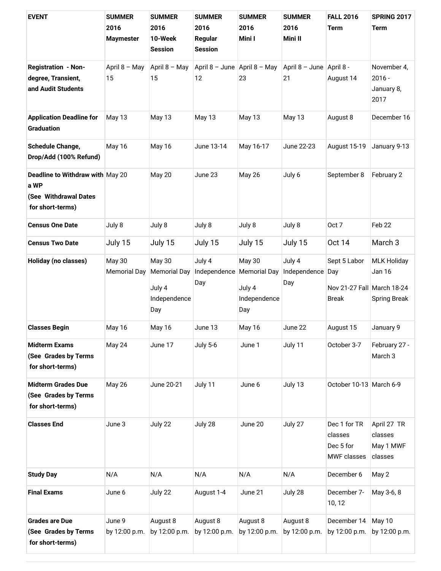| <b>EVENT</b>                                                                          | <b>SUMMER</b><br>2016<br><b>Maymester</b> | <b>SUMMER</b><br>2016<br>10-Week<br><b>Session</b>                    | <b>SUMMER</b><br>2016<br>Regular<br><b>Session</b> | <b>SUMMER</b><br>2016<br>Mini I                | <b>SUMMER</b><br>2016<br>Mini II | <b>FALL 2016</b><br><b>Term</b>                                   | <b>SPRING 2017</b><br><b>Term</b>                   |
|---------------------------------------------------------------------------------------|-------------------------------------------|-----------------------------------------------------------------------|----------------------------------------------------|------------------------------------------------|----------------------------------|-------------------------------------------------------------------|-----------------------------------------------------|
| <b>Registration - Non-</b><br>degree, Transient,<br>and Audit Students                | April 8 - May<br>15                       | April 8 - May<br>15                                                   | April 8 - June April 8 - May<br>12                 | 23                                             | April 8 - June April 8 -<br>21   | August 14                                                         | November 4,<br>$2016 -$<br>January 8,<br>2017       |
| <b>Application Deadline for</b><br><b>Graduation</b>                                  | May 13                                    | May 13                                                                | May 13                                             | May 13                                         | May 13                           | August 8                                                          | December 16                                         |
| <b>Schedule Change,</b><br>Drop/Add (100% Refund)                                     | May 16                                    | May 16                                                                | June 13-14                                         | May 16-17                                      | June 22-23                       | August 15-19                                                      | January 9-13                                        |
| Deadline to Withdraw with May 20<br>a WP<br>(See Withdrawal Dates<br>for short-terms) |                                           | <b>May 20</b>                                                         | June 23                                            | <b>May 26</b>                                  | July 6                           | September 8                                                       | February 2                                          |
| <b>Census One Date</b>                                                                | July 8                                    | July 8                                                                | July 8                                             | July 8                                         | July 8                           | Oct 7                                                             | Feb 22                                              |
| <b>Census Two Date</b>                                                                | July 15                                   | July 15                                                               | July 15                                            | July 15                                        | July 15                          | <b>Oct 14</b>                                                     | March 3                                             |
| <b>Holiday (no classes)</b>                                                           | May 30<br><b>Memorial Day</b>             | <b>May 30</b><br><b>Memorial Day</b><br>July 4<br>Independence<br>Day | July 4<br>Independence Memorial Day<br>Day         | <b>May 30</b><br>July 4<br>Independence<br>Day | July 4<br>Independence<br>Day    | Sept 5 Labor<br>Day<br>Nov 21-27 Fall March 18-24<br><b>Break</b> | <b>MLK Holiday</b><br>Jan 16<br><b>Spring Break</b> |
| <b>Classes Begin</b>                                                                  | May 16                                    | May 16                                                                | June 13                                            | May 16                                         | June 22                          | August 15                                                         | January 9                                           |
| <b>Midterm Exams</b><br>(See Grades by Terms<br>for short-terms)                      | May 24                                    | June 17                                                               | <b>July 5-6</b>                                    | June 1                                         | July 11                          | October 3-7                                                       | February 27 -<br>March <sub>3</sub>                 |
| <b>Midterm Grades Due</b><br>(See Grades by Terms<br>for short-terms)                 | <b>May 26</b>                             | June 20-21                                                            | July 11                                            | June 6                                         | July 13                          | October 10-13 March 6-9                                           |                                                     |
| <b>Classes End</b>                                                                    | June 3                                    | July 22                                                               | July 28                                            | June 20                                        | July 27                          | Dec 1 for TR<br>classes<br>Dec 5 for<br><b>MWF</b> classes        | April 27 TR<br>classes<br>May 1 MWF<br>classes      |
| <b>Study Day</b>                                                                      | N/A                                       | N/A                                                                   | N/A                                                | N/A                                            | N/A                              | December 6                                                        | May 2                                               |
| <b>Final Exams</b>                                                                    | June 6                                    | July 22                                                               | August 1-4                                         | June 21                                        | July 28                          | December 7-<br>10, 12                                             | May 3-6, 8                                          |
| <b>Grades are Due</b><br>(See Grades by Terms<br>for short-terms)                     | June 9<br>by 12:00 p.m.                   | August 8<br>by 12:00 p.m.                                             | August 8<br>by 12:00 p.m.                          | August 8<br>by 12:00 p.m.                      | August 8<br>by 12:00 p.m.        | December 14<br>by 12:00 p.m.                                      | May 10<br>by 12:00 p.m.                             |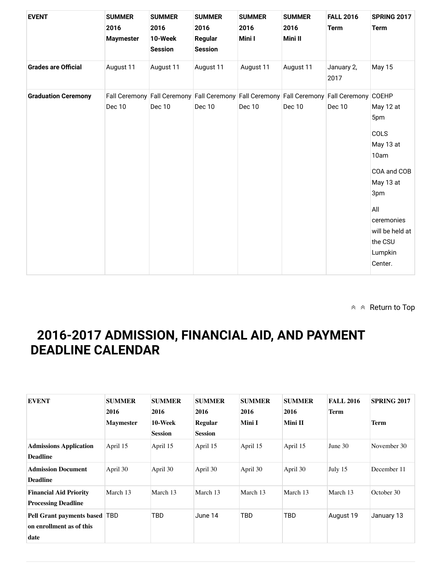| <b>EVENT</b>               | <b>SUMMER</b><br>2016<br><b>Maymester</b> | <b>SUMMER</b><br>2016<br>10-Week<br><b>Session</b> | <b>SUMMER</b><br>2016<br>Regular<br><b>Session</b>                                                  | <b>SUMMER</b><br>2016<br>Mini I | <b>SUMMER</b><br>2016<br>Mini II | <b>FALL 2016</b><br><b>Term</b> | <b>SPRING 2017</b><br><b>Term</b>                                                                                                                         |
|----------------------------|-------------------------------------------|----------------------------------------------------|-----------------------------------------------------------------------------------------------------|---------------------------------|----------------------------------|---------------------------------|-----------------------------------------------------------------------------------------------------------------------------------------------------------|
| <b>Grades are Official</b> | August 11                                 | August 11                                          | August 11                                                                                           | August 11                       | August 11                        | January 2,<br>2017              | <b>May 15</b>                                                                                                                                             |
| <b>Graduation Ceremony</b> | <b>Dec 10</b>                             | <b>Dec 10</b>                                      | Fall Ceremony Fall Ceremony Fall Ceremony Fall Ceremony Fall Ceremony Fall Ceremony COEHP<br>Dec 10 | Dec 10                          | <b>Dec 10</b>                    | Dec 10                          | May 12 at<br>5pm<br>COLS<br>May 13 at<br>10am<br>COA and COB<br>May 13 at<br>3pm<br>All<br>ceremonies<br>will be held at<br>the CSU<br>Lumpkin<br>Center. |

 $\land \land$  Return to Top

## **2016-2017 ADMISSION, FINANCIAL AID, AND PAYMENT DEADLINE CALENDAR**

| <b>EVENT</b>                                                        | <b>SUMMER</b><br>2016<br><b>Maymester</b> | <b>SUMMER</b><br>2016<br>10-Week<br><b>Session</b> | <b>SUMMER</b><br>2016<br><b>Regular</b><br><b>Session</b> | <b>SUMMER</b><br>2016<br>Mini I | <b>SUMMER</b><br>2016<br>Mini II | <b>FALL 2016</b><br><b>Term</b> | <b>SPRING 2017</b><br><b>Term</b> |
|---------------------------------------------------------------------|-------------------------------------------|----------------------------------------------------|-----------------------------------------------------------|---------------------------------|----------------------------------|---------------------------------|-----------------------------------|
| <b>Admissions Application</b><br><b>Deadline</b>                    | April 15                                  | April 15                                           | April 15                                                  | April 15                        | April 15                         | June $30$                       | November 30                       |
| <b>Admission Document</b><br><b>Deadline</b>                        | April 30                                  | April 30                                           | April 30                                                  | April 30                        | April 30                         | July 15                         | December 11                       |
| <b>Financial Aid Priority</b><br><b>Processing Deadline</b>         | March 13                                  | March 13                                           | March 13                                                  | March 13                        | March 13                         | March 13                        | October 30                        |
| Pell Grant payments based   TBD<br>on enrollment as of this<br>date |                                           | TBD                                                | June 14                                                   | TBD                             | TBD                              | August 19                       | January 13                        |